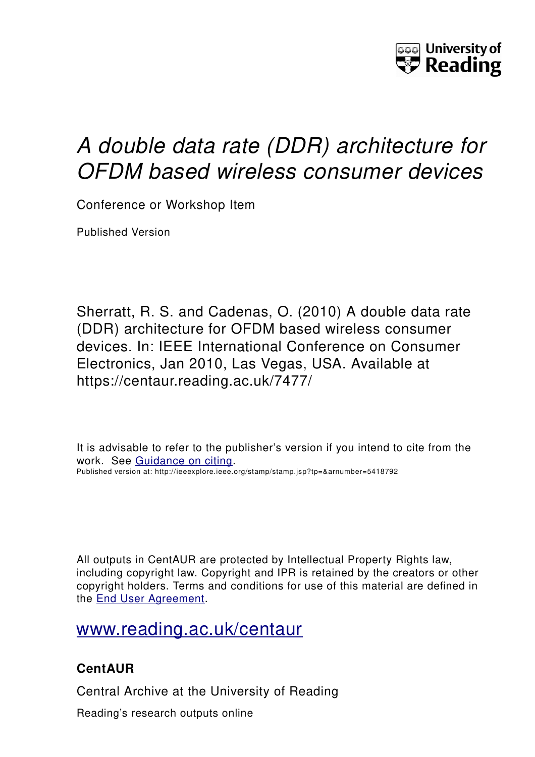

# *A double data rate (DDR) architecture for OFDM based wireless consumer devices*

Conference or Workshop Item

Published Version

Sherratt, R. S. and Cadenas, O. (2010) A double data rate (DDR) architecture for OFDM based wireless consumer devices. In: IEEE International Conference on Consumer Electronics, Jan 2010, Las Vegas, USA. Available at https://centaur.reading.ac.uk/7477/

It is advisable to refer to the publisher's version if you intend to cite from the work. See [Guidance on citing.](http://centaur.reading.ac.uk/71187/10/CentAUR%20citing%20guide.pdf) Published version at: http://ieeexplore.ieee.org/stamp/stamp.jsp?tp=&arnumber=5418792

All outputs in CentAUR are protected by Intellectual Property Rights law, including copyright law. Copyright and IPR is retained by the creators or other copyright holders. Terms and conditions for use of this material are defined in the [End User Agreement.](http://centaur.reading.ac.uk/licence)

[www.reading.ac.uk/centaur](http://www.reading.ac.uk/centaur)

### **CentAUR**

Central Archive at the University of Reading

Reading's research outputs online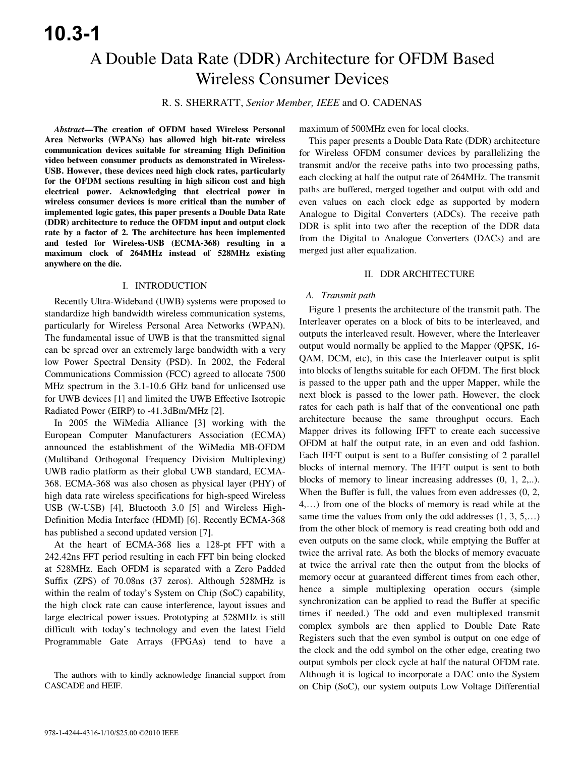## A Double Data Rate (DDR) Architecture for OFDM Based Wireless Consumer Devices

R. S. SHERRATT, *Senior Member, IEEE* and O. CADENAS

*Abstract***—The creation of OFDM based Wireless Personal Area Networks (WPANs) has allowed high bit-rate wireless communication devices suitable for streaming High Definition video between consumer products as demonstrated in Wireless-USB. However, these devices need high clock rates, particularly for the OFDM sections resulting in high silicon cost and high electrical power. Acknowledging that electrical power in wireless consumer devices is more critical than the number of implemented logic gates, this paper presents a Double Data Rate (DDR) architecture to reduce the OFDM input and output clock rate by a factor of 2. The architecture has been implemented and tested for Wireless-USB (ECMA-368) resulting in a maximum clock of 264MHz instead of 528MHz existing anywhere on the die.** 

#### I. INTRODUCTION

Recently Ultra-Wideband (UWB) systems were proposed to standardize high bandwidth wireless communication systems, particularly for Wireless Personal Area Networks (WPAN). The fundamental issue of UWB is that the transmitted signal can be spread over an extremely large bandwidth with a very low Power Spectral Density (PSD). In 2002, the Federal Communications Commission (FCC) agreed to allocate 7500 MHz spectrum in the 3.1-10.6 GHz band for unlicensed use for UWB devices [1] and limited the UWB Effective Isotropic Radiated Power (EIRP) to -41.3dBm/MHz [2].

In 2005 the WiMedia Alliance [3] working with the European Computer Manufacturers Association (ECMA) announced the establishment of the WiMedia MB-OFDM (Multiband Orthogonal Frequency Division Multiplexing) UWB radio platform as their global UWB standard, ECMA-368. ECMA-368 was also chosen as physical layer (PHY) of high data rate wireless specifications for high-speed Wireless USB (W-USB) [4], Bluetooth 3.0 [5] and Wireless High-Definition Media Interface (HDMI) [6]. Recently ECMA-368 has published a second updated version [7].

At the heart of ECMA-368 lies a 128-pt FFT with a 242.42ns FFT period resulting in each FFT bin being clocked at 528MHz. Each OFDM is separated with a Zero Padded Suffix (ZPS) of 70.08ns (37 zeros). Although 528MHz is within the realm of today's System on Chip (SoC) capability, the high clock rate can cause interference, layout issues and large electrical power issues. Prototyping at 528MHz is still difficult with today's technology and even the latest Field Programmable Gate Arrays (FPGAs) tend to have a

maximum of 500MHz even for local clocks.

This paper presents a Double Data Rate (DDR) architecture for Wireless OFDM consumer devices by parallelizing the transmit and/or the receive paths into two processing paths, each clocking at half the output rate of 264MHz. The transmit paths are buffered, merged together and output with odd and even values on each clock edge as supported by modern Analogue to Digital Converters (ADCs). The receive path DDR is split into two after the reception of the DDR data from the Digital to Analogue Converters (DACs) and are merged just after equalization.

#### II. DDR ARCHITECTURE

#### *A. Transmit path*

Figure 1 presents the architecture of the transmit path. The Interleaver operates on a block of bits to be interleaved, and outputs the interleaved result. However, where the Interleaver output would normally be applied to the Mapper (QPSK, 16- QAM, DCM, etc), in this case the Interleaver output is split into blocks of lengths suitable for each OFDM. The first block is passed to the upper path and the upper Mapper, while the next block is passed to the lower path. However, the clock rates for each path is half that of the conventional one path architecture because the same throughput occurs. Each Mapper drives its following IFFT to create each successive OFDM at half the output rate, in an even and odd fashion. Each IFFT output is sent to a Buffer consisting of 2 parallel blocks of internal memory. The IFFT output is sent to both blocks of memory to linear increasing addresses (0, 1, 2,..). When the Buffer is full, the values from even addresses  $(0, 2, 1)$ 4,…) from one of the blocks of memory is read while at the same time the values from only the odd addresses  $(1, 3, 5,...)$ from the other block of memory is read creating both odd and even outputs on the same clock, while emptying the Buffer at twice the arrival rate. As both the blocks of memory evacuate at twice the arrival rate then the output from the blocks of memory occur at guaranteed different times from each other, hence a simple multiplexing operation occurs (simple synchronization can be applied to read the Buffer at specific times if needed.) The odd and even multiplexed transmit complex symbols are then applied to Double Date Rate Registers such that the even symbol is output on one edge of the clock and the odd symbol on the other edge, creating two output symbols per clock cycle at half the natural OFDM rate. Although it is logical to incorporate a DAC onto the System on Chip (SoC), our system outputs Low Voltage Differential

The authors with to kindly acknowledge financial support from CASCADE and HEIF.